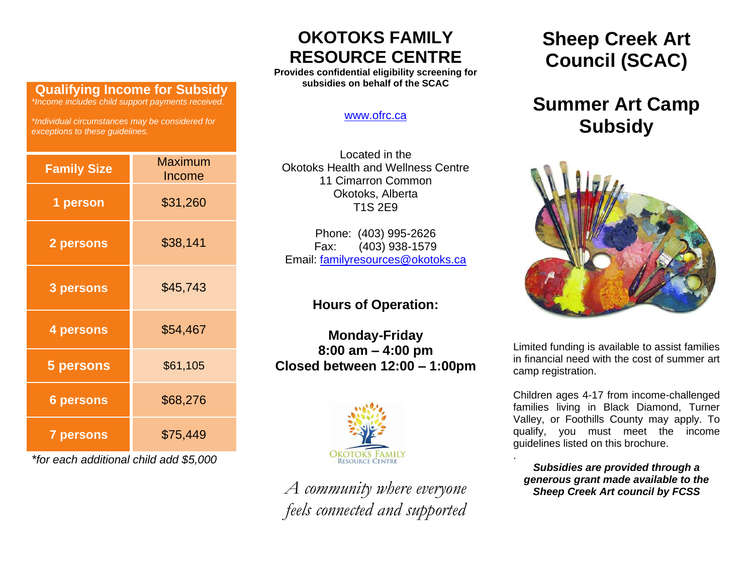### **Qualifying Income for Subsidy**

*\*Income includes child support payments received.* 

*\*Individual circumstances may be considered for exceptions to these guidelines.*

| <b>Family Size</b> | <b>Maximum</b><br>Income |  |  |  |
|--------------------|--------------------------|--|--|--|
| 1 person           | \$31,260                 |  |  |  |
| 2 persons          | \$38,141                 |  |  |  |
| 3 persons          | \$45,743                 |  |  |  |
| 4 persons          | \$54,467                 |  |  |  |
| 5 persons          | \$61,105                 |  |  |  |
| <b>6 persons</b>   | \$68,276                 |  |  |  |
| <b>7 persons</b>   | \$75,449                 |  |  |  |

*\*for each additional child add \$5,000*

## **OKOTOKS FAMILY RESOURCE CENTRE**

**Provides confidential eligibility screening for subsidies on behalf of the SCAC**

#### [www.ofrc.ca](http://www.ofrc.ca/)

Located in the Okotoks Health and Wellness Centre 11 Cimarron Common Okotoks, Alberta T1S 2E9

Phone: (403) 995-2626 Fax: (403) 938-1579 Email: [familyresources@okotoks.ca](mailto:familyresources@okotoks.ca)

### **Hours of Operation:**

**Monday-Friday 8:00 am – 4:00 pm Closed between 12:00 – 1:00pm**



*A community where everyone feels connected and supported* **Sheep Creek Art Council (SCAC)**

# **Summer Art Camp Subsidy**



Limited funding is available to assist families in financial need with the cost of summer art camp registration.

Children ages 4-17 from income-challenged families living in Black Diamond, Turner Valley, or Foothills County may apply. To qualify, you must meet the income guidelines listed on this brochure.

*Subsidies are provided through a generous grant made available to the Sheep Creek Art council by FCSS*

.